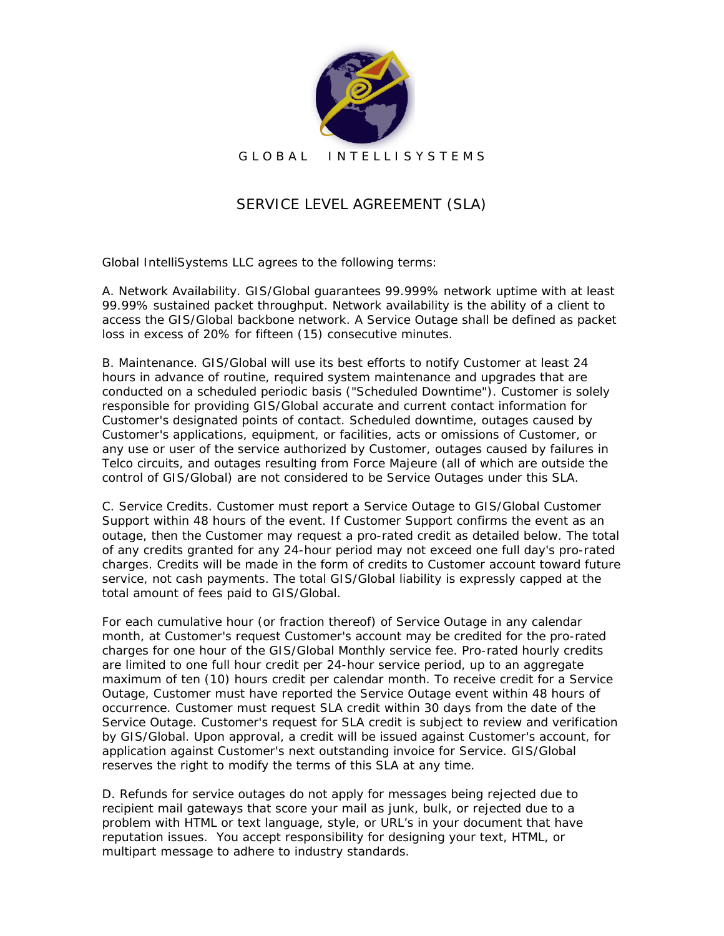

G L O B A L I N T E L L I S Y S T E M S

## SERVICE LEVEL AGREEMENT (SLA)

Global IntelliSystems LLC agrees to the following terms:

A. Network Availability. GIS/Global guarantees 99.999% network uptime with at least 99.99% sustained packet throughput. Network availability is the ability of a client to access the GIS/Global backbone network. A Service Outage shall be defined as packet loss in excess of 20% for fifteen (15) consecutive minutes.

B. Maintenance. GIS/Global will use its best efforts to notify Customer at least 24 hours in advance of routine, required system maintenance and upgrades that are conducted on a scheduled periodic basis ("Scheduled Downtime"). Customer is solely responsible for providing GIS/Global accurate and current contact information for Customer's designated points of contact. Scheduled downtime, outages caused by Customer's applications, equipment, or facilities, acts or omissions of Customer, or any use or user of the service authorized by Customer, outages caused by failures in Telco circuits, and outages resulting from Force Majeure (all of which are outside the control of GIS/Global) are not considered to be Service Outages under this SLA.

C. Service Credits. Customer must report a Service Outage to GIS/Global Customer Support within 48 hours of the event. If Customer Support confirms the event as an outage, then the Customer may request a pro-rated credit as detailed below. The total of any credits granted for any 24-hour period may not exceed one full day's pro-rated charges. Credits will be made in the form of credits to Customer account toward future service, not cash payments. The total GIS/Global liability is expressly capped at the total amount of fees paid to GIS/Global.

For each cumulative hour (or fraction thereof) of Service Outage in any calendar month, at Customer's request Customer's account may be credited for the pro-rated charges for one hour of the GIS/Global Monthly service fee. Pro-rated hourly credits are limited to one full hour credit per 24-hour service period, up to an aggregate maximum of ten (10) hours credit per calendar month. To receive credit for a Service Outage, Customer must have reported the Service Outage event within 48 hours of occurrence. Customer must request SLA credit within 30 days from the date of the Service Outage. Customer's request for SLA credit is subject to review and verification by GIS/Global. Upon approval, a credit will be issued against Customer's account, for application against Customer's next outstanding invoice for Service. GIS/Global reserves the right to modify the terms of this SLA at any time.

D. Refunds for service outages do not apply for messages being rejected due to recipient mail gateways that score your mail as junk, bulk, or rejected due to a problem with HTML or text language, style, or URL's in your document that have reputation issues. You accept responsibility for designing your text, HTML, or multipart message to adhere to industry standards.